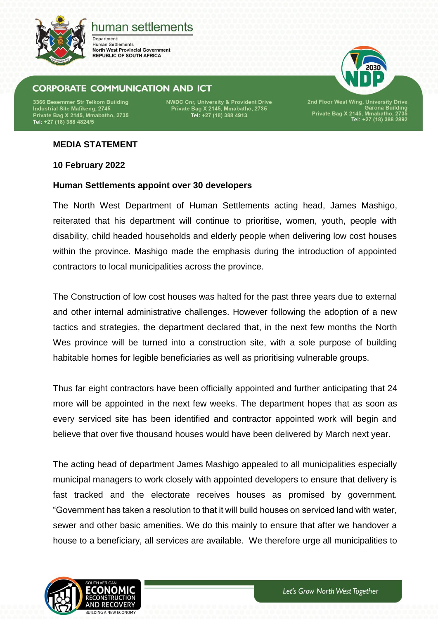

# human settlements

Department: **Human Settlements North West Provincial Government REPUBLIC OF SOUTH AFRICA** 

## **CORPORATE COMMUNICATION AND ICT**

3366 Besemmer Str Telkom Building Industrial Site Mafikeng, 2745 Private Bag X 2145, Mmabatho, 2735<br>Tel: +27 (18) 388 4824/5 **NWDC Cnr, University & Provident Drive** Private Bag X 2145, Mmabatho, 2735<br>Tel: +27 (18) 388 4913

2nd Floor West Wing, University Drive<br>Garona Building<br>Private Bag X 2145, Mmabatho, 2735<br>Tel: +27 (18) 388 2892

### **MEDIA STATEMENT**

**10 February 2022**

#### **Human Settlements appoint over 30 developers**

The North West Department of Human Settlements acting head, James Mashigo, reiterated that his department will continue to prioritise, women, youth, people with disability, child headed households and elderly people when delivering low cost houses within the province. Mashigo made the emphasis during the introduction of appointed contractors to local municipalities across the province.

The Construction of low cost houses was halted for the past three years due to external and other internal administrative challenges. However following the adoption of a new tactics and strategies, the department declared that, in the next few months the North Wes province will be turned into a construction site, with a sole purpose of building habitable homes for legible beneficiaries as well as prioritising vulnerable groups.

Thus far eight contractors have been officially appointed and further anticipating that 24 more will be appointed in the next few weeks. The department hopes that as soon as every serviced site has been identified and contractor appointed work will begin and believe that over five thousand houses would have been delivered by March next year.

The acting head of department James Mashigo appealed to all municipalities especially municipal managers to work closely with appointed developers to ensure that delivery is fast tracked and the electorate receives houses as promised by government. "Government has taken a resolution to that it will build houses on serviced land with water, sewer and other basic amenities. We do this mainly to ensure that after we handover a house to a beneficiary, all services are available. We therefore urge all municipalities to